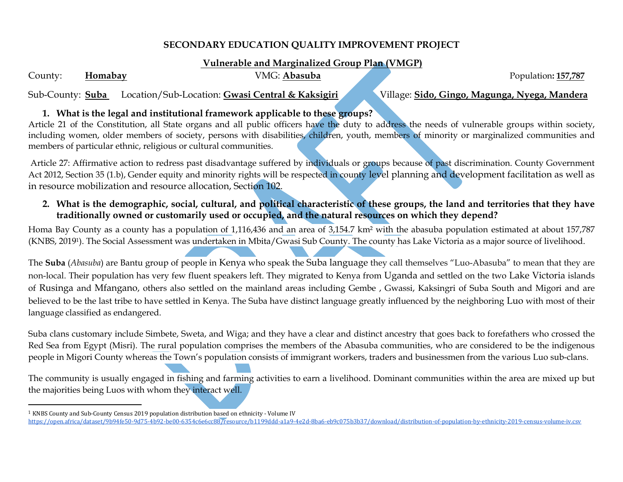### **SECONDARY EDUCATION QUALITY IMPROVEMENT PROJECT**

#### **Vulnerable and Marginalized Group Plan (VMGP)**

County: **Homabay VMG: Abasuba Population: 157,787** 

 $\overline{\phantom{a}}$ 

Sub-County: **Suba** Location/Sub-Location: **Gwasi Central & Kaksigiri** Village: **Sido, Gingo, Magunga, Nyega, Mandera**

# **1. What is the legal and institutional framework applicable to these groups?**

Article 21 of the Constitution, all State organs and all public officers have the duty to address the needs of vulnerable groups within society, including women, older members of society, persons with disabilities, children, youth, members of minority or marginalized communities and members of particular ethnic, religious or cultural communities.

Article 27: Affirmative action to redress past disadvantage suffered by individuals or groups because of past discrimination. County Government Act 2012, Section 35 (1.b), Gender equity and minority rights will be respected in county level planning and development facilitation as well as in resource mobilization and resource allocation, Section 102.

**2. What is the demographic, social, cultural, and political characteristic of these groups, the land and territories that they have traditionally owned or customarily used or occupied, and the natural resources on which they depend?**

Homa Bay County as a county has a population of 1,116,436 and an area of 3,154.7 km² with the abasuba population estimated at about 157,787 (KNBS, 20191). The Social Assessment was undertaken in Mbita/Gwasi Sub County. The county has Lake Victoria as a major source of livelihood.

The **Suba** (*Abasuba*) are Bantu group of people in [Kenya](https://en.wikipedia.org/wiki/Kenya) who speak the [Suba language](https://en.wikipedia.org/wiki/Suba_language) they call themselves "Luo-Abasuba" to mean that they are non-local. Their population has very few fluent speakers left. They migrated to Kenya from [Uganda](https://en.wikipedia.org/wiki/Uganda) and settled on the two [Lake Victoria](https://en.wikipedia.org/wiki/Lake_Victoria) islands of [Rusinga](https://en.wikipedia.org/wiki/Rusinga) and [Mfangano](https://en.wikipedia.org/wiki/Mfangano_Island), others also settled on the mainland areas including Gembe , Gwassi, Kaksingri of Suba South and Migori and are believed to be the last tribe to have settled in Kenya. The Suba have distinct language greatly influenced by the neighboring [Luo](https://en.wikipedia.org/wiki/Luo_(Kenya)) with most of their language classified as endangered.

Suba clans customary include Simbete, Sweta, and Wiga; and they have a clear and distinct ancestry that goes back to forefathers who crossed the Red Sea from Egypt (Misri). The rural population comprises the members of the Abasuba communities, who are considered to be the indigenous people in Migori County whereas the Town's population consists of immigrant workers, traders and businessmen from the various Luo sub-clans.

The community is usually engaged in fishing and farming activities to earn a livelihood. Dominant communities within the area are mixed up but the majorities being Luos with whom they interact well.

<sup>1</sup> KNBS County and Sub-County Census 2019 population distribution based on ethnicity - Volume IV <https://open.africa/dataset/9b94fe50-9d75-4b92-be00-6354c6e6cc88/resource/b1199ddd-a1a9-4e2d-8ba6-eb9c075b3b37/download/distribution-of-population-by-ethnicity-2019-census-volume-iv.csv>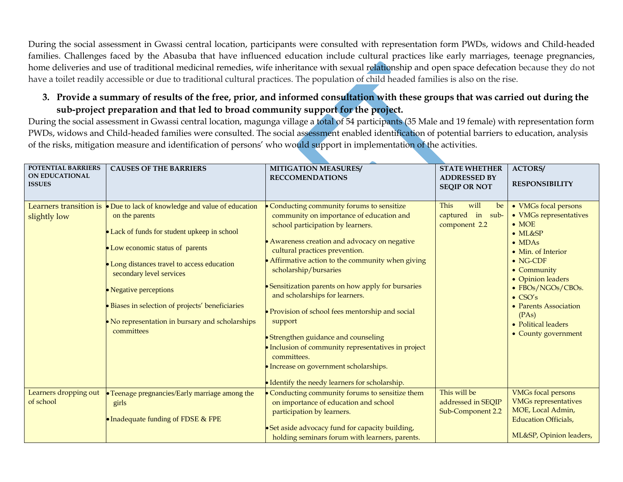During the social assessment in Gwassi central location, participants were consulted with representation form PWDs, widows and Child-headed families. Challenges faced by the Abasuba that have influenced education include cultural practices like early marriages, teenage pregnancies, home deliveries and use of traditional medicinal remedies, wife inheritance with sexual relationship and open space defecation because they do not have a toilet readily accessible or due to traditional cultural practices. The population of child headed families is also on the rise.

### **3. Provide a summary of results of the free, prior, and informed consultation with these groups that was carried out during the sub-project preparation and that led to broad community support for the project.**

During the social assessment in Gwassi central location, magunga village a total of 54 participants (35 Male and 19 female) with representation form PWDs, widows and Child-headed families were consulted. The social assessment enabled identification of potential barriers to education, analysis of the risks, mitigation measure and identification of persons' who would support in implementation of the activities.

| POTENTIAL BARRIERS<br><b>ON EDUCATIONAL</b><br><b>ISSUES</b> | <b>CAUSES OF THE BARRIERS</b>                                                                                                                                                                                                                                                                                                                                       | <b>MITIGATION MEASURES/</b><br><b>RECCOMENDATIONS</b>                                                                                                                                                                                                                                                                                                                                                                                                                                                                                                                                                                                                       | <b>STATE WHETHER</b><br><b>ADDRESSED BY</b><br><b>SEQIP OR NOT</b> | <b>ACTORS/</b><br><b>RESPONSIBILITY</b>                                                                                                                                                                                                                                                                    |
|--------------------------------------------------------------|---------------------------------------------------------------------------------------------------------------------------------------------------------------------------------------------------------------------------------------------------------------------------------------------------------------------------------------------------------------------|-------------------------------------------------------------------------------------------------------------------------------------------------------------------------------------------------------------------------------------------------------------------------------------------------------------------------------------------------------------------------------------------------------------------------------------------------------------------------------------------------------------------------------------------------------------------------------------------------------------------------------------------------------------|--------------------------------------------------------------------|------------------------------------------------------------------------------------------------------------------------------------------------------------------------------------------------------------------------------------------------------------------------------------------------------------|
| Learners transition is<br>slightly low                       | Due to lack of knowledge and value of education<br>on the parents<br>Lack of funds for student upkeep in school<br>Low economic status of parents<br>Long distances travel to access education<br>secondary level services<br>Negative perceptions<br>Biases in selection of projects' beneficiaries<br>No representation in bursary and scholarships<br>committees | Conducting community forums to sensitize<br>community on importance of education and<br>school participation by learners.<br>• Awareness creation and advocacy on negative<br>cultural practices prevention.<br>• Affirmative action to the community when giving<br>scholarship/bursaries<br>• Sensitization parents on how apply for bursaries<br>and scholarships for learners.<br>• Provision of school fees mentorship and social<br>support<br>• Strengthen guidance and counseling<br>• Inclusion of community representatives in project<br>committees.<br>· Increase on government scholarships.<br>• Identify the needy learners for scholarship. | will<br><b>This</b><br>be<br>captured in sub-<br>component 2.2     | • VMGs focal persons<br>• VMGs representatives<br>$\bullet$ MOE<br>$\bullet$ ML&SP<br>$\bullet$ MDAs<br>• Min. of Interior<br>$\bullet$ NG-CDF<br>• Community<br>• Opinion leaders<br>• FBOs/NGOs/CBOs.<br>$\bullet$ CSO's<br>• Parents Association<br>(PAs)<br>• Political leaders<br>• County government |
| Learners dropping out<br>of school                           | • Teenage pregnancies/Early marriage among the<br>girls<br>• Inadequate funding of FDSE & FPE                                                                                                                                                                                                                                                                       | Conducting community forums to sensitize them<br>on importance of education and school<br>participation by learners.<br>• Set aside advocacy fund for capacity building,<br>holding seminars forum with learners, parents.                                                                                                                                                                                                                                                                                                                                                                                                                                  | This will be<br>addressed in SEQIP<br>Sub-Component 2.2            | <b>VMGs focal persons</b><br><b>VMGs representatives</b><br>MOE, Local Admin,<br><b>Education Officials,</b><br>ML&SP, Opinion leaders,                                                                                                                                                                    |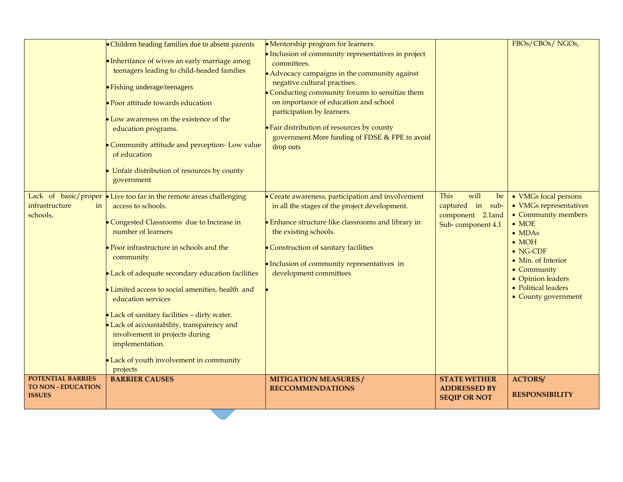|                                                                        | • Children heading families due to absent parents<br>• Inheritance of wives an early marriage amog<br>teenagers leading to child-headed families<br>• Fishing underage/teenagers<br>· Poor attitude towards education<br>Low awareness on the existence of the<br>education programs.<br>Community attitude and perception- Low value<br>of education<br>Unfair distribution of resources by county<br>government                                                                                                                                         | • Mentorship program for learners.<br>• Inclusion of community representatives in project<br>committees.<br>• Advocacy campaigns in the community against<br>negative cultural practises.<br>Conducting community forums to sensitize them<br>on importance of education and school<br>participation by learners.<br>• Fair distribution of resources by county<br>government. More funding of FDSE & FPE to avoid<br>drop outs |                                                                                 | FBOs/CBOs/NGOs,                                                                                                                                                                                                                                       |
|------------------------------------------------------------------------|-----------------------------------------------------------------------------------------------------------------------------------------------------------------------------------------------------------------------------------------------------------------------------------------------------------------------------------------------------------------------------------------------------------------------------------------------------------------------------------------------------------------------------------------------------------|---------------------------------------------------------------------------------------------------------------------------------------------------------------------------------------------------------------------------------------------------------------------------------------------------------------------------------------------------------------------------------------------------------------------------------|---------------------------------------------------------------------------------|-------------------------------------------------------------------------------------------------------------------------------------------------------------------------------------------------------------------------------------------------------|
| infrastructure<br>in<br>schools,                                       | Lack of basic/proper $\bullet$ Live too far in the remote areas challenging<br>access to schools.<br>Congested Classrooms due to Increase in<br>number of learners<br>Poor infrastructure in schools and the<br>community<br>Lack of adequate secondary education facilities<br>Limited access to social amenities, health and<br>education services<br>Lack of sanitary facilities - dirty water.<br>Lack of accountability, transparency and<br>involvement in projects during<br>implementation.<br>Lack of youth involvement in community<br>projects | • Create awareness, participation and involvement<br>in all the stages of the project development.<br><b>Enhance structure like classrooms and library in</b><br>the existing schools.<br>• Construction of sanitary facilities<br>• Inclusion of community representatives in<br>development committees                                                                                                                        | This<br>will<br>be<br>captured in sub-<br>component 2.1and<br>Sub-component 4.1 | • VMGs focal persons<br>• VMGs representatives<br>• Community members<br>$\bullet$ MOE<br>$\bullet$ MDAs<br>$\bullet$ MOH<br>$\bullet$ NG-CDF<br>• Min. of Interior<br>• Community<br>• Opinion leaders<br>• Political leaders<br>• County government |
| <b>POTENTIAL BARRIES</b><br><b>TO NON - EDUCATION</b><br><b>ISSUES</b> | <b>BARRIER CAUSES</b>                                                                                                                                                                                                                                                                                                                                                                                                                                                                                                                                     | <b>MITIGATION MEASURES/</b><br><b>RECCOMMENDATIONS</b>                                                                                                                                                                                                                                                                                                                                                                          | <b>STATE WETHER</b><br><b>ADDRESSED BY</b><br><b>SEQIP OR NOT</b>               | <b>ACTORS/</b><br><b>RESPONSIBILITY</b>                                                                                                                                                                                                               |

**Contract**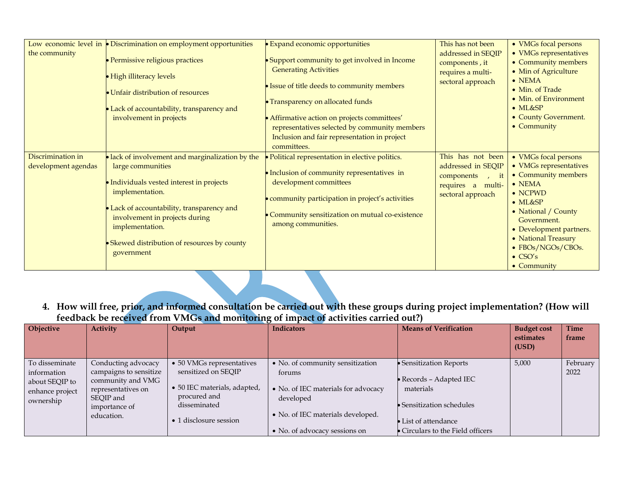|                                          | Low economic level in $\blacktriangleright$ Discrimination on employment opportunities                                                                                                                                                                                                               | <b>Expand economic opportunities</b>                                                                                                                                                                                                                                                                                              | This has not been                                                                                          | • VMGs focal persons                                                                                                                                                                                                                                                                 |
|------------------------------------------|------------------------------------------------------------------------------------------------------------------------------------------------------------------------------------------------------------------------------------------------------------------------------------------------------|-----------------------------------------------------------------------------------------------------------------------------------------------------------------------------------------------------------------------------------------------------------------------------------------------------------------------------------|------------------------------------------------------------------------------------------------------------|--------------------------------------------------------------------------------------------------------------------------------------------------------------------------------------------------------------------------------------------------------------------------------------|
| the community                            | · Permissive religious practices<br>• High illiteracy levels<br>• Unfair distribution of resources<br>• Lack of accountability, transparency and<br>involvement in projects                                                                                                                          | • Support community to get involved in Income<br><b>Generating Activities</b><br>• Issue of title deeds to community members<br>• Transparency on allocated funds<br>• Affirmative action on projects committees'<br>representatives selected by community members<br>Inclusion and fair representation in project<br>committees. | addressed in SEQIP<br>components, it<br>requires a multi-<br>sectoral approach                             | • VMGs representatives<br>• Community members<br>• Min of Agriculture<br>$\bullet$ NEMA<br>• Min. of Trade<br>• Min. of Environment<br>$\bullet$ ML&SP<br>• County Government.<br>• Community                                                                                        |
| Discrimination in<br>development agendas | • lack of involvement and marginalization by the<br>large communities<br>• Individuals vested interest in projects<br>implementation.<br>• Lack of accountability, transparency and<br>involvement in projects during<br>implementation.<br>Skewed distribution of resources by county<br>government | · Political representation in elective politics.<br>• Inclusion of community representatives in<br>development committees<br>• community participation in project's activities<br>• Community sensitization on mutual co-existence<br>among communities.                                                                          | This has not been<br>addressed in SEQIP<br>components<br>$\,$ it<br>requires a multi-<br>sectoral approach | • VMGs focal persons<br>• VMGs representatives<br>• Community members<br>$\bullet$ NEMA<br>$\bullet$ NCPWD<br>$\bullet$ ML&SP<br>• National / County<br>Government.<br>• Development partners.<br>• National Treasury<br>• FBOs/NGOs/CBOs.<br>$\bullet$ CSO's<br>$\bullet$ Community |

**4. How will free, prior, and informed consultation be carried out with these groups during project implementation? (How will feedback be received from VMGs and monitoring of impact of activities carried out?)**

| Objective                                                                       | <b>Activity</b>                                                                                                                      | Output                                                                                                                                     | <b>Indicators</b>                                                                                                                                                    | <b>Means of Verification</b>                                                                                                                                | <b>Budget cost</b><br>estimates<br>(USD) | <b>Time</b><br>frame |
|---------------------------------------------------------------------------------|--------------------------------------------------------------------------------------------------------------------------------------|--------------------------------------------------------------------------------------------------------------------------------------------|----------------------------------------------------------------------------------------------------------------------------------------------------------------------|-------------------------------------------------------------------------------------------------------------------------------------------------------------|------------------------------------------|----------------------|
| To disseminate<br>information<br>about SEQIP to<br>enhance project<br>ownership | Conducting advocacy<br>campaigns to sensitize<br>community and VMG<br>representatives on<br>SEQIP and<br>importance of<br>education. | • 50 VMGs representatives<br>sensitized on SEOIP<br>• 50 IEC materials, adapted,<br>procured and<br>disseminated<br>• 1 disclosure session | • No. of community sensitization<br>forums<br>• No. of IEC materials for advocacy<br>developed<br>• No. of IEC materials developed.<br>• No. of advocacy sessions on | · Sensitization Reports<br>Records – Adapted IEC<br>materials<br>$\bullet$ Sensitization schedules<br>List of attendance<br>Circulars to the Field officers | 5,000                                    | February<br>2022     |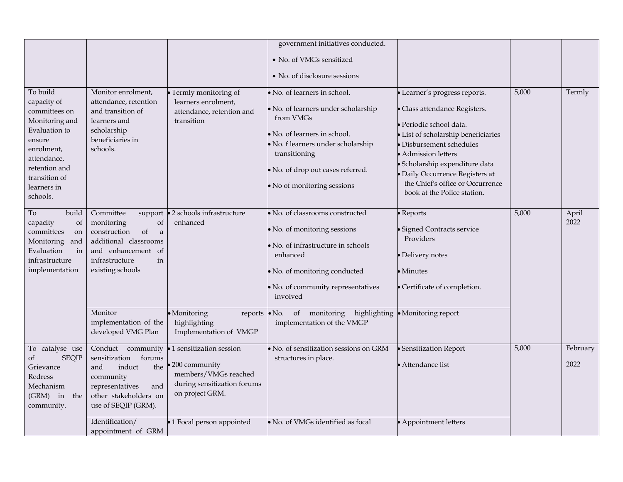|                                                                                                                                                                                 |                                                                                                                                                                |                                                                                                                    | government initiatives conducted.<br>• No. of VMGs sensitized<br>• No. of disclosure sessions                                                                                                                                         |                                                                                                                                                                                                                                                                                                                             |       |                  |
|---------------------------------------------------------------------------------------------------------------------------------------------------------------------------------|----------------------------------------------------------------------------------------------------------------------------------------------------------------|--------------------------------------------------------------------------------------------------------------------|---------------------------------------------------------------------------------------------------------------------------------------------------------------------------------------------------------------------------------------|-----------------------------------------------------------------------------------------------------------------------------------------------------------------------------------------------------------------------------------------------------------------------------------------------------------------------------|-------|------------------|
| To build<br>capacity of<br>committees on<br>Monitoring and<br>Evaluation to<br>ensure<br>enrolment,<br>attendance,<br>retention and<br>transition of<br>learners in<br>schools. | Monitor enrolment,<br>attendance, retention<br>and transition of<br>learners and<br>scholarship<br>beneficiaries in<br>schools.                                | • Termly monitoring of<br>learners enrolment,<br>attendance, retention and<br>transition                           | No. of learners in school.<br>· No. of learners under scholarship<br>from VMGs<br>No. of learners in school.<br>· No. f learners under scholarship<br>transitioning<br>No. of drop out cases referred.<br>• No of monitoring sessions | · Learner's progress reports.<br>· Class attendance Registers.<br>· Periodic school data.<br>· List of scholarship beneficiaries<br>• Disbursement schedules<br>· Admission letters<br>· Scholarship expenditure data<br>· Daily Occurrence Registers at<br>the Chief's office or Occurrence<br>book at the Police station. | 5,000 | Termly           |
| build<br>To<br>capacity<br>of<br>committees<br>on<br>Monitoring<br>and<br>Evaluation<br>in<br>infrastructure<br>implementation                                                  | Committee<br>support<br>monitoring<br>of<br>construction<br>of<br>a<br>additional classrooms<br>and enhancement of<br>infrastructure<br>in<br>existing schools | •2 schools infrastructure<br>enhanced                                                                              | · No. of classrooms constructed<br>· No. of monitoring sessions<br>No. of infrastructure in schools<br>enhanced<br>· No. of monitoring conducted<br>No. of community representatives<br>involved                                      | $\bullet$ Reports<br>· Signed Contracts service<br>Providers<br>· Delivery notes<br>$\bullet$ Minutes<br>· Certificate of completion.                                                                                                                                                                                       | 5,000 | April<br>2022    |
|                                                                                                                                                                                 | Monitor<br>implementation of the<br>developed VMG Plan                                                                                                         | · Monitoring<br>reports<br>highlighting<br>Implementation of VMGP                                                  | $\bullet$ No.<br>of monitoring<br>highlighting<br>implementation of the VMGP                                                                                                                                                          | · Monitoring report                                                                                                                                                                                                                                                                                                         |       |                  |
| To catalyse use<br><b>SEQIP</b><br>of<br>Grievance<br>Redress<br>Mechanism<br>(GRM) in the<br>community.                                                                        | Conduct community<br>sensitization<br>forums<br>and<br>induct<br>the<br>community<br>representatives<br>and<br>other stakeholders on<br>use of SEQIP (GRM).    | 1 sensitization session<br>200 community<br>members/VMGs reached<br>during sensitization forums<br>on project GRM. | No. of sensitization sessions on GRM<br>structures in place.                                                                                                                                                                          | · Sensitization Report<br>• Attendance list                                                                                                                                                                                                                                                                                 | 5,000 | February<br>2022 |
|                                                                                                                                                                                 | Identification/<br>appointment of GRM                                                                                                                          | •1 Focal person appointed                                                                                          | · No. of VMGs identified as focal                                                                                                                                                                                                     | • Appointment letters                                                                                                                                                                                                                                                                                                       |       |                  |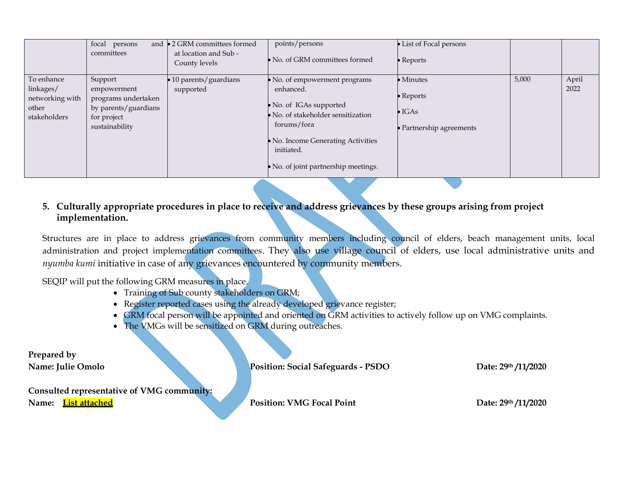|                                                                     | focal persons<br>committees                                                                            | and •2 GRM committees formed<br>at location and Sub -<br>County levels | points/persons<br>• No. of GRM committees formed                                                                                                                                                                       | • List of Focal persons<br>$\bullet$ Reports                                         |       |               |
|---------------------------------------------------------------------|--------------------------------------------------------------------------------------------------------|------------------------------------------------------------------------|------------------------------------------------------------------------------------------------------------------------------------------------------------------------------------------------------------------------|--------------------------------------------------------------------------------------|-------|---------------|
| To enhance<br>linkages/<br>networking with<br>other<br>stakeholders | Support<br>empowerment<br>programs undertaken<br>by parents/guardians<br>for project<br>sustainability | • 10 parents/guardians<br>supported                                    | • No. of empowerment programs<br>enhanced.<br>• No. of IGAs supported<br>• No. of stakeholder sensitization<br>forums/fora<br>• No. Income Generating Activities<br>initiated.<br>• No. of joint partnership meetings. | $\bullet$ Minutes<br>$\bullet$ Reports<br>$\bullet$ IGAs<br>• Partnership agreements | 5,000 | April<br>2022 |

## **5. Culturally appropriate procedures in place to receive and address grievances by these groups arising from project implementation.**

Structures are in place to address grievances from community members including council of elders, beach management units, local administration and project implementation committees. They also use village council of elders, use local administrative units and *nyumba kumi* initiative in case of any grievances encountered by community members.

SEQIP will put the following GRM measures in place.

- Training of Sub county stakeholders on GRM;
- Register reported cases using the already developed grievance register;
- GRM focal person will be appointed and oriented on GRM activities to actively follow up on VMG complaints.
- The VMGs will be sensitized on GRM during outreaches.

**Prepared by** 

**Name: Julie Omolo Position: Social Safeguards - PSDO Date: 29<sup>th</sup> /11/2020** 

**Consulted representative of VMG community:**

**Name:** List attached **Position: VMG Focal Point Date: 29<sup>th</sup> /11/2020**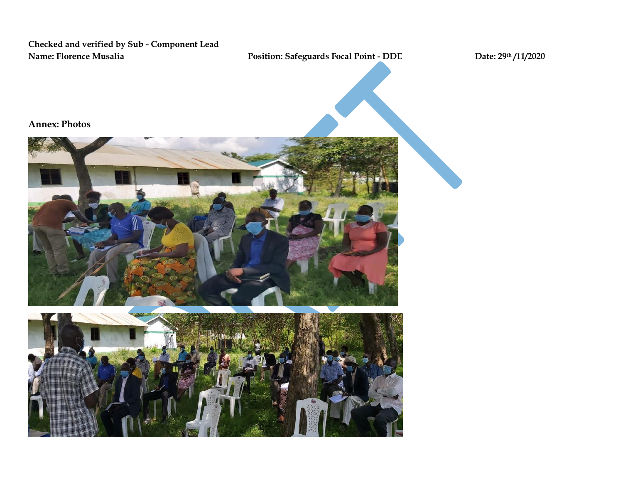**Checked and verified by Sub - Component Lead Name: Florence Musalia Position: Safeguards Focal Point - DDE Date: 29th /11/2020**

**Annex: Photos**